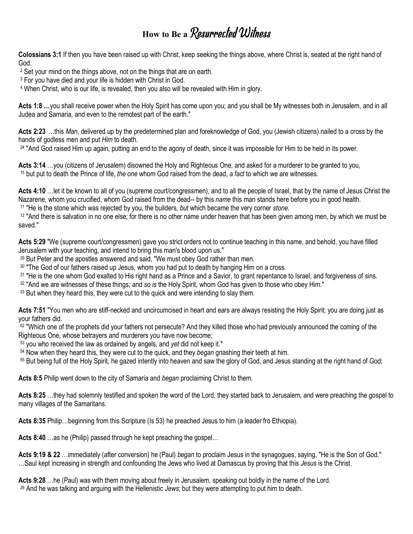## **How to Be a** Resurrected Witness

**Colossians 3:1** If then you have been raised up with Christ, keep seeking the things above, where Christ is, seated at the right hand of God.

<sup>2</sup> Set your mind on the things above, not on the things that are on earth.

<sup>3</sup> For you have died and your life is hidden with Christ in God.

<sup>4</sup> When Christ, who is our life, is revealed, then you also will be revealed with Him in glory.

**Acts 1:8 …**you shall receive power when the Holy Spirit has come upon you; and you shall be My witnesses both in Jerusalem, and in all Judea and Samaria, and even to the remotest part of the earth."

**Acts 2:23** .…this *Man*, delivered up by the predetermined plan and foreknowledge of God, you (Jewish citizens) nailed to a cross by the hands of godless men and put *Him* to death.

<sup>24</sup> "And God raised Him up again, putting an end to the agony of death, since it was impossible for Him to be held in its power.

**Acts 3:14** …you (citizens of Jerusalem) disowned the Holy and Righteous One, and asked for a murderer to be granted to you, <sup>15</sup> but put to death the Prince of life, *the one* whom God raised from the dead, *a fact* to which we are witnesses.

**Acts 4:10** …let it be known to all of you (supreme court/congressmen), and to all the people of Israel, that by the name of Jesus Christ the Nazarene, whom you crucified, whom God raised from the dead-- by this *name* this man stands here before you in good health. <sup>11</sup> "He is the stone which was rejected by you, the builders, *but* which became the very corner *stone*.

<sup>12</sup> "And there is salvation in no one else; for there is no other name under heaven that has been given among men, by which we must be saved."

**Acts 5:29** "We (supreme court/congressmen) gave you strict orders not to continue teaching in this name, and behold, you have filled Jerusalem with your teaching, and intend to bring this man's blood upon us."

<sup>29</sup> But Peter and the apostles answered and said, "We must obey God rather than men.

<sup>30</sup> "The God of our fathers raised up Jesus, whom you had put to death by hanging Him on a cross.

31 "He is the one whom God exalted to His right hand as a Prince and a Savior, to grant repentance to Israel, and forgiveness of sins.

<sup>32</sup> "And we are witnesses of these things; and *so is* the Holy Spirit, whom God has given to those who obey Him."

<sup>33</sup> But when they heard this, they were cut to the quick and were intending to slay them.

**Acts 7:51** "You men who are stiff-necked and uncircumcised in heart and ears are always resisting the Holy Spirit; you are doing just as your fathers did.

 $52$  "Which one of the prophets did your fathers not persecute? And they killed those who had previously announced the coming of the Righteous One, whose betrayers and murderers you have now become;

<sup>53</sup> you who received the law as ordained by angels, and *yet* did not keep it."

<sup>54</sup> Now when they heard this, they were cut to the quick, and they *began* gnashing their teeth at him.

<sup>55</sup> But being full of the Holy Spirit, he gazed intently into heaven and saw the glory of God, and Jesus standing at the right hand of God;

**Acts 8:5** Philip went down to the city of Samaria and *began* proclaiming Christ to them.

**Acts 8:25** …they had solemnly testified and spoken the word of the Lord, they started back to Jerusalem, and were preaching the gospel to many villages of the Samaritans.

**Acts 8:35** Philip…beginning from this Scripture (Is 53) he preached Jesus to him (a leader fro Ethiopia).

**Acts 8:40** …as he (Philip) passed through he kept preaching the gospel…

**Acts 9:19 & 22** …immediately (after conversion) he (Paul) *began* to proclaim Jesus in the synagogues, saying, "He is the Son of God." …Saul kept increasing in strength and confounding the Jews who lived at Damascus by proving that this *Jesus* is the Christ.

**Acts 9:28** …he (Paul) was with them moving about freely in Jerusalem, speaking out boldly in the name of the Lord.

29 And he was talking and arguing with the Hellenistic *Jews*; but they were attempting to put him to death.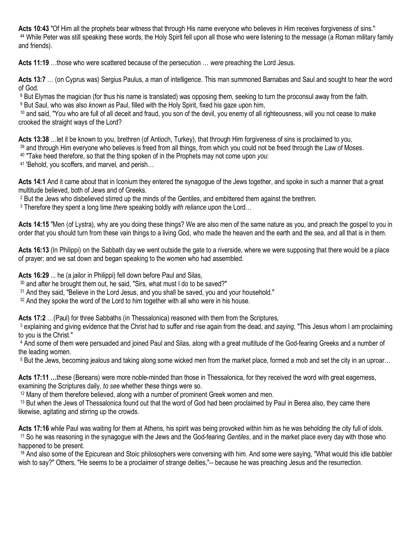**Acts 10:43** "Of Him all the prophets bear witness that through His name everyone who believes in Him receives forgiveness of sins." <sup>44</sup> While Peter was still speaking these words, the Holy Spirit fell upon all those who were listening to the message (a Roman military family and friends).

**Acts 11:19** …those who were scattered because of the persecution … *were* preaching the Lord Jesus.

**Acts 13:7** … (on Cyprus was) Sergius Paulus, a man of intelligence. This man summoned Barnabas and Saul and sought to hear the word of God.

<sup>8</sup> But Elymas the magician (for thus his name is translated) was opposing them, seeking to turn the proconsul away from the faith.

9 But Saul, who was also *known as* Paul, filled with the Holy Spirit, fixed his gaze upon him,

10 and said. "You who are full of all deceit and fraud, you son of the devil, you enemy of all righteousness, will you not cease to make crooked the straight ways of the Lord?

**Acts 13:38** …let it be known to you, brethren (of Antioch, Turkey), that through Him forgiveness of sins is proclaimed to you,

<sup>39</sup> and through Him everyone who believes is freed from all things, from which you could not be freed through the Law of Moses.

<sup>40</sup> "Take heed therefore, so that the thing spoken of in the Prophets may not come upon *you*:

<sup>41</sup> 'Behold, you scoffers, and marvel, and perish...

**Acts 14:1** And it came about that in Iconium they entered the synagogue of the Jews together, and spoke in such a manner that a great multitude believed, both of Jews and of Greeks.

2 But the Jews who disbelieved stirred up the minds of the Gentiles, and embittered them against the brethren.

3 Therefore they spent a long time *there* speaking boldly *with reliance* upon the Lord…

**Acts 14:15** "Men (of Lystra), why are you doing these things? We are also men of the same nature as you, and preach the gospel to you in order that you should turn from these vain things to a living God, who made the heaven and the earth and the sea, and all that is in them.

**Acts 16:13** (In Philippi) on the Sabbath day we went outside the gate to a riverside, where we were supposing that there would be a place of prayer; and we sat down and began speaking to the women who had assembled.

**Acts 16:29** ... he (a jailor in Philippi) fell down before Paul and Silas,

<sup>30</sup> and after he brought them out, he said, "Sirs, what must I do to be saved?"

<sup>31</sup> And they said, "Believe in the Lord Jesus, and you shall be saved, you and your household."

 $32$  And they spoke the word of the Lord to him together with all who were in his house.

**Acts 17:2** …(Paul) for three Sabbaths (in Thessalonica) reasoned with them from the Scriptures,

3 explaining and giving evidence that the Christ had to suffer and rise again from the dead, and *saying*, "This Jesus whom I am proclaiming to you is the Christ."

4 And some of them were persuaded and joined Paul and Silas, along with a great multitude of the God-fearing Greeks and a number of the leading women.

<sup>5</sup> But the Jews, becoming jealous and taking along some wicked men from the market place, formed a mob and set the city in an uproar…

Acts 17:11 ...these (Bereans) were more noble-minded than those in Thessalonica, for they received the word with great eagerness, examining the Scriptures daily, *to see* whether these things were so.

<sup>12</sup> Many of them therefore believed, along with a number of prominent Greek women and men.

<sup>13</sup> But when the Jews of Thessalonica found out that the word of God had been proclaimed by Paul in Berea also, they came there likewise, agitating and stirring up the crowds.

**Acts 17:16** while Paul was waiting for them at Athens, his spirit was being provoked within him as he was beholding the city full of idols. <sup>17</sup> So he was reasoning in the synagogue with the Jews and the God-fearing *Gentiles*, and in the market place every day with those who happened to be present.

18 And also some of the Epicurean and Stoic philosophers were conversing with him. And some were saying, "What would this idle babbler wish to say?" Others, "He seems to be a proclaimer of strange deities,"-- because he was preaching Jesus and the resurrection.